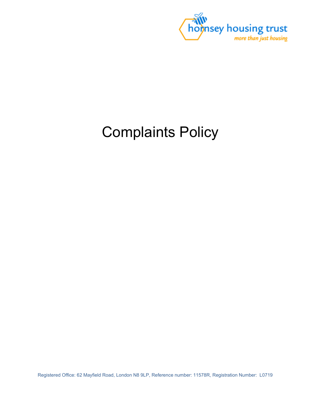

# Complaints Policy

Registered Office: 62 Mayfield Road, London N8 9LP, Reference number: 11578R, Registration Number: L0719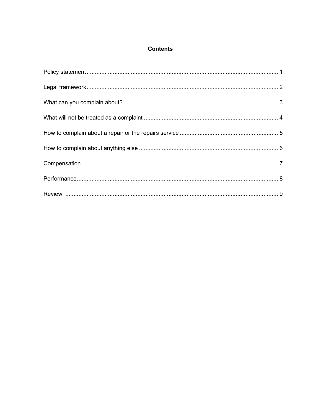## **Contents**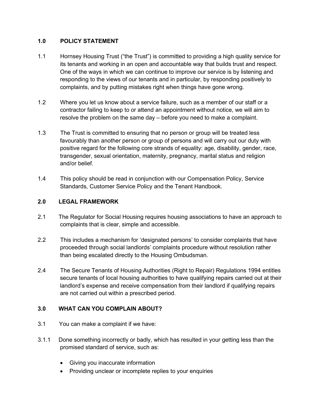### **1.0 POLICY STATEMENT**

- 1.1 Hornsey Housing Trust ("the Trust") is committed to providing a high quality service for its tenants and working in an open and accountable way that builds trust and respect. One of the ways in which we can continue to improve our service is by listening and responding to the views of our tenants and in particular, by responding positively to complaints, and by putting mistakes right when things have gone wrong.
- 1.2 Where you let us know about a service failure, such as a member of our staff or a contractor failing to keep to or attend an appointment without notice, we will aim to resolve the problem on the same day – before you need to make a complaint.
- 1.3 The Trust is committed to ensuring that no person or group will be treated less favourably than another person or group of persons and will carry out our duty with positive regard for the following core strands of equality: age, disability, gender, race, transgender, sexual orientation, maternity, pregnancy, marital status and religion and/or belief.
- 1.4 This policy should be read in conjunction with our Compensation Policy, Service Standards, Customer Service Policy and the Tenant Handbook.

### **2.0 LEGAL FRAMEWORK**

- 2.1 The Regulator for Social Housing requires housing associations to have an approach to complaints that is clear, simple and accessible.
- 2.2 This includes a mechanism for 'designated persons' to consider complaints that have proceeded through social landlords' complaints procedure without resolution rather than being escalated directly to the Housing Ombudsman.
- 2.4 The Secure Tenants of Housing Authorities (Right to Repair) Regulations 1994 entitles secure tenants of local housing authorities to have qualifying repairs carried out at their landlord's expense and receive compensation from their landlord if qualifying repairs are not carried out within a prescribed period.

# **3.0 WHAT CAN YOU COMPLAIN ABOUT?**

- 3.1You can make a complaint if we have:
- 3.1.1 Done something incorrectly or badly, which has resulted in your getting less than the promised standard of service, such as:
	- Giving you inaccurate information
	- Providing unclear or incomplete replies to your enquiries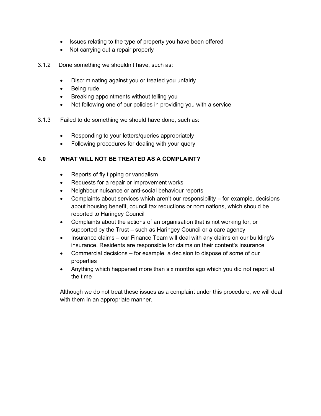- Issues relating to the type of property you have been offered
- Not carrying out a repair properly
- 3.1.2 Done something we shouldn't have, such as:
	- Discriminating against you or treated you unfairly
	- Being rude
	- Breaking appointments without telling you
	- Not following one of our policies in providing you with a service
- 3.1.3 Failed to do something we should have done, such as:
	- Responding to your letters/queries appropriately
	- Following procedures for dealing with your query

### **4.0 WHAT WILL NOT BE TREATED AS A COMPLAINT?**

- Reports of fly tipping or vandalism
- Requests for a repair or improvement works
- Neighbour nuisance or anti-social behaviour reports
- Complaints about services which aren't our responsibility  $-$  for example, decisions about housing benefit, council tax reductions or nominations, which should be reported to Haringey Council
- Complaints about the actions of an organisation that is not working for, or supported by the Trust – such as Haringey Council or a care agency
- Insurance claims our Finance Team will deal with any claims on our building's insurance. Residents are responsible for claims on their content's insurance
- Commercial decisions for example, a decision to dispose of some of our properties
- Anything which happened more than six months ago which you did not report at the time

Although we do not treat these issues as a complaint under this procedure, we will deal with them in an appropriate manner.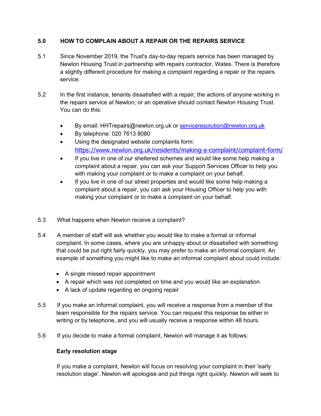# **5.0 HOW TO COMPLAIN ABOUT A REPAIR OR THE REPAIRS SERVICE**

- 5.1 Since November 2019, the Trust's day-to-day repairs service has been managed by Newlon Housing Trust in partnership with repairs contractor, Wates. There is therefore a slightly different procedure for making a complaint regarding a repair or the repairs service.
- 5.2 In the first instance, tenants dissatisfied with a repair; the actions of anyone working in the repairs service at Newlon; or an operative should contact Newlon Housing Trust. You can do this:
	- By email: HHTrepairs@newlon.org.uk or [serviceresolution@newlon.org.uk](mailto:serviceresolution@newlon.org.uk)
	- By telephone: 020 7613 8080
	- Using the designated website complaints form: <https://www.newlon.org.uk/residents/making-a-complaint/complaint-form/>
	- If you live in one of our sheltered schemes and would like some help making a complaint about a repair, you can ask your Support Services Officer to help you with making your complaint or to make a complaint on your behalf.
	- If you live in one of our street properties and would like some help making a complaint about a repair, you can ask your Housing Officer to help you with making your complaint or to make a complaint on your behalf.
- 5.3 What happens when Newlon receive a complaint?
- 5.4 A member of staff will ask whether you would like to make a formal or informal complaint. In some cases, where you are unhappy about or dissatisfied with something that could be put right fairly quickly, you may prefer to make an informal complaint. An example of something you might like to make an informal complaint about could include:
	- A single missed repair appointment
	- A repair which was not completed on time and you would like an explanation
	- A lack of update regarding an ongoing repair
- 5.5 If you make an informal complaint, you will receive a response from a member of the team responsible for the repairs service. You can request this response be either in writing or by telephone, and you will usually receive a response within 48 hours.
- 5.6 If you decide to make a formal complaint, Newlon will manage it as follows:

#### **Early resolution stage**

If you make a complaint, Newlon will focus on resolving your complaint in their 'early resolution stage'. Newlon will apologise and put things right quickly. Newlon will seek to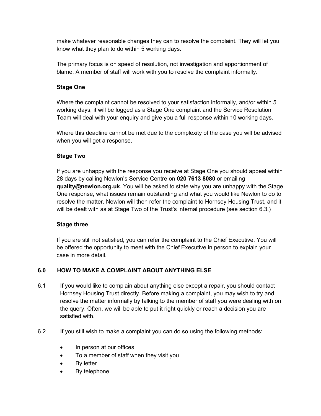make whatever reasonable changes they can to resolve the complaint. They will let you know what they plan to do within 5 working days.

The primary focus is on speed of resolution, not investigation and apportionment of blame. A member of staff will work with you to resolve the complaint informally.

### **Stage One**

Where the complaint cannot be resolved to your satisfaction informally, and/or within 5 working days, it will be logged as a Stage One complaint and the Service Resolution Team will deal with your enquiry and give you a full response within 10 working days.

Where this deadline cannot be met due to the complexity of the case you will be advised when you will get a response.

### **Stage Two**

If you are unhappy with the response you receive at Stage One you should appeal within 28 days by calling Newlon's Service Centre on **020 7613 8080** or emailing **quality@newlon.org.uk**. You will be asked to state why you are unhappy with the Stage One response, what issues remain outstanding and what you would like Newlon to do to resolve the matter. Newlon will then refer the complaint to Hornsey Housing Trust, and it will be dealt with as at Stage Two of the Trust's internal procedure (see section 6.3.)

# **Stage three**

If you are still not satisfied, you can refer the complaint to the Chief Executive. You will be offered the opportunity to meet with the Chief Executive in person to explain your case in more detail.

# **6.0 HOW TO MAKE A COMPLAINT ABOUT ANYTHING ELSE**

- 6.1 If you would like to complain about anything else except a repair, you should contact Hornsey Housing Trust directly. Before making a complaint, you may wish to try and resolve the matter informally by talking to the member of staff you were dealing with on the query. Often, we will be able to put it right quickly or reach a decision you are satisfied with.
- 6.2 If you still wish to make a complaint you can do so using the following methods:
	- In person at our offices
	- To a member of staff when they visit you
	- By letter
	- By telephone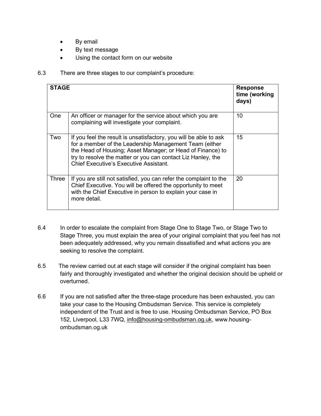- By email
- By text message
- Using the contact form on our website

#### 6.3 There are three stages to our complaint's procedure:

| <b>STAGE</b> |                                                                                                                                                                                                                                                                                                            | <b>Response</b><br>time (working<br>days) |
|--------------|------------------------------------------------------------------------------------------------------------------------------------------------------------------------------------------------------------------------------------------------------------------------------------------------------------|-------------------------------------------|
| <b>One</b>   | An officer or manager for the service about which you are<br>complaining will investigate your complaint.                                                                                                                                                                                                  | 10                                        |
| Two          | If you feel the result is unsatisfactory, you will be able to ask<br>for a member of the Leadership Management Team (either<br>the Head of Housing; Asset Manager; or Head of Finance) to<br>try to resolve the matter or you can contact Liz Hanley, the<br><b>Chief Executive's Executive Assistant.</b> | 15                                        |
| Three        | If you are still not satisfied, you can refer the complaint to the<br>Chief Executive. You will be offered the opportunity to meet<br>with the Chief Executive in person to explain your case in<br>more detail.                                                                                           | 20                                        |

- 6.4 In order to escalate the complaint from Stage One to Stage Two, or Stage Two to Stage Three, you must explain the area of your original complaint that you feel has not been adequately addressed, why you remain dissatisfied and what actions you are seeking to resolve the complaint.
- 6.5 The review carried out at each stage will consider if the original complaint has been fairly and thoroughly investigated and whether the original decision should be upheld or overturned.
- 6.6 If you are not satisfied after the three-stage procedure has been exhausted, you can take your case to the Housing Ombudsman Service. This service is completely independent of the Trust and is free to use. Housing Ombudsman Service, PO Box 152, Liverpool, L33 7WQ, info@housing-ombudsman.og.uk, www.housingombudsman.og.uk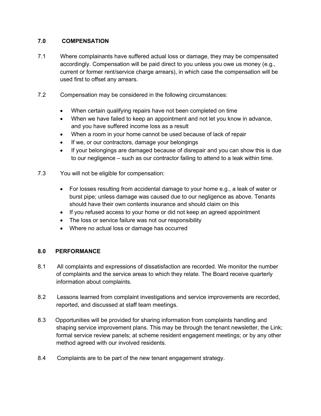## **7.0 COMPENSATION**

- 7.1 Where complainants have suffered actual loss or damage, they may be compensated accordingly. Compensation will be paid direct to you unless you owe us money (e.g., current or former rent/service charge arrears), in which case the compensation will be used first to offset any arrears.
- 7.2 Compensation may be considered in the following circumstances:
	- When certain qualifying repairs have not been completed on time
	- When we have failed to keep an appointment and not let you know in advance, and you have suffered income loss as a result
	- When a room in your home cannot be used because of lack of repair
	- If we, or our contractors, damage your belongings
	- If your belongings are damaged because of disrepair and you can show this is due to our negligence – such as our contractor failing to attend to a leak within time.
- 7.3 You will not be eligible for compensation:
	- For losses resulting from accidental damage to your home e.g., a leak of water or burst pipe; unless damage was caused due to our negligence as above. Tenants should have their own contents insurance and should claim on this
	- If you refused access to your home or did not keep an agreed appointment
	- The loss or service failure was not our responsibility
	- Where no actual loss or damage has occurred

#### **8.0 PERFORMANCE**

- 8.1 All complaints and expressions of dissatisfaction are recorded. We monitor the number of complaints and the service areas to which they relate. The Board receive quarterly information about complaints.
- 8.2 Lessons learned from complaint investigations and service improvements are recorded, reported, and discussed at staff team meetings.
- 8.3 Opportunities will be provided for sharing information from complaints handling and shaping service improvement plans. This may be through the tenant newsletter, the Link; formal service review panels; at scheme resident engagement meetings; or by any other method agreed with our involved residents.
- 8.4 Complaints are to be part of the new tenant engagement strategy.